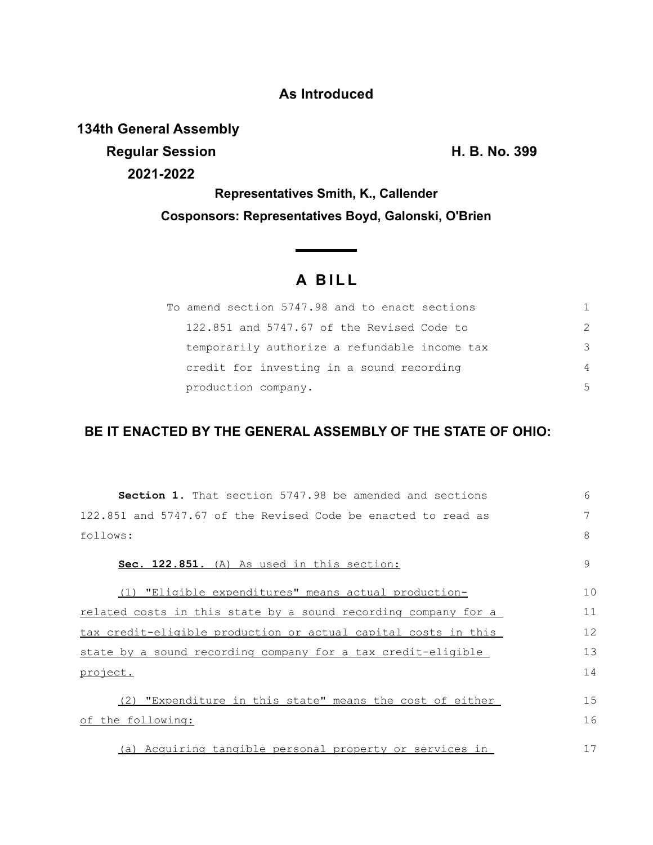## **As Introduced**

**134th General Assembly**

**Regular Session H. B. No. 399 2021-2022**

**Representatives Smith, K., Callender Cosponsors: Representatives Boyd, Galonski, O'Brien**

# **A B I L L**

<u> The Common Sta</u>

| To amend section 5747.98 and to enact sections | 1.            |
|------------------------------------------------|---------------|
| 122,851 and 5747.67 of the Revised Code to     | $\mathcal{P}$ |
| temporarily authorize a refundable income tax  | 3             |
| credit for investing in a sound recording      | 4             |
| production company.                            | .5            |

### **BE IT ENACTED BY THE GENERAL ASSEMBLY OF THE STATE OF OHIO:**

| <b>Section 1.</b> That section 5747.98 be amended and sections | $6 \overline{6}$ |
|----------------------------------------------------------------|------------------|
| 122.851 and 5747.67 of the Revised Code be enacted to read as  | 7                |
| follows:                                                       | 8                |
| Sec. 122.851. (A) As used in this section:                     | 9                |
| (1) "Eligible expenditures" means actual production-           | 10               |
| related costs in this state by a sound recording company for a | 11               |
| tax credit-eligible production or actual capital costs in this | 12               |
| state by a sound recording company for a tax credit-eligible   | 13               |
| project.                                                       | 14               |
| (2) "Expenditure in this state" means the cost of either       | 15               |
| of the following:                                              | 16               |
| (a) Acquiring tangible personal property or services in        | 17               |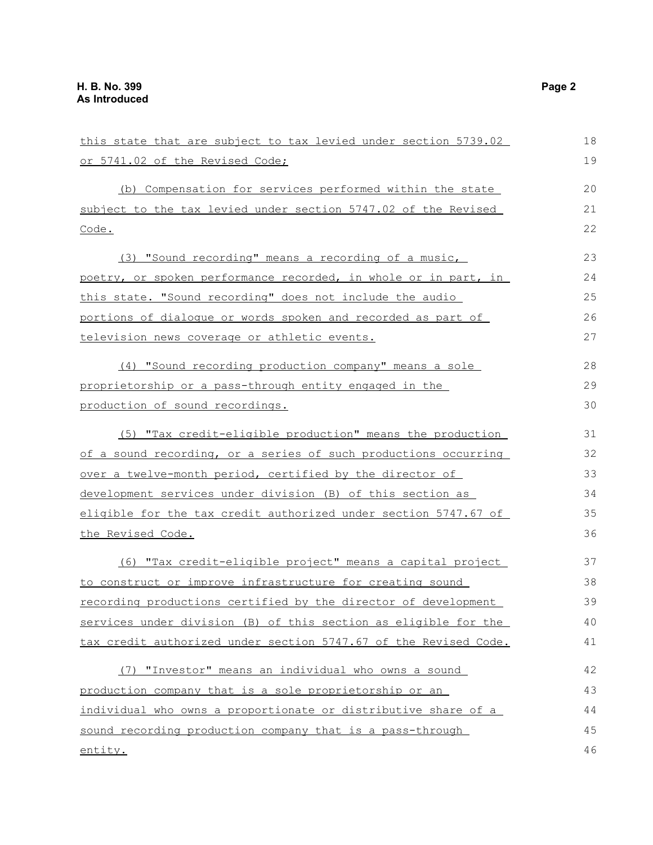| this state that are subject to tax levied under section 5739.02  | 18 |
|------------------------------------------------------------------|----|
| or 5741.02 of the Revised Code;                                  | 19 |
| (b) Compensation for services performed within the state         | 20 |
| subject to the tax levied under section 5747.02 of the Revised   | 21 |
| Code.                                                            | 22 |
| (3) "Sound recording" means a recording of a music,              | 23 |
| poetry, or spoken performance recorded, in whole or in part, in  | 24 |
| this state. "Sound recording" does not include the audio         | 25 |
| portions of dialogue or words spoken and recorded as part of     | 26 |
| television news coverage or athletic events.                     | 27 |
| (4) "Sound recording production company" means a sole            | 28 |
| proprietorship or a pass-through entity engaged in the           | 29 |
| production of sound recordings.                                  | 30 |
| (5) "Tax credit-eligible production" means the production        | 31 |
| of a sound recording, or a series of such productions occurring  | 32 |
| over a twelve-month period, certified by the director of         | 33 |
| development services under division (B) of this section as       | 34 |
| eligible for the tax credit authorized under section 5747.67 of  | 35 |
| the Revised Code.                                                | 36 |
| (6) "Tax credit-eligible project" means a capital project        | 37 |
| to construct or improve infrastructure for creating sound        | 38 |
| recording productions certified by the director of development   | 39 |
| services under division (B) of this section as eligible for the  | 40 |
| tax credit authorized under section 5747.67 of the Revised Code. | 41 |
| (7) "Investor" means an individual who owns a sound              | 42 |
| production company that is a sole proprietorship or an           | 43 |
| individual who owns a proportionate or distributive share of a   | 44 |
| sound recording production company that is a pass-through        | 45 |
| entity.                                                          | 46 |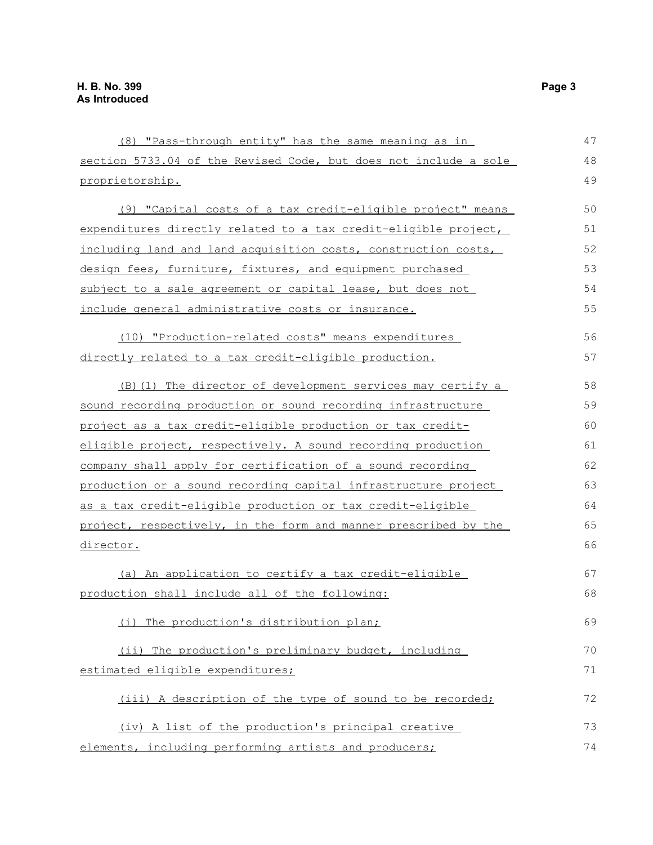| (8) "Pass-through entity" has the same meaning as in             | 47 |
|------------------------------------------------------------------|----|
| section 5733.04 of the Revised Code, but does not include a sole | 48 |
| proprietorship.                                                  | 49 |
| (9) "Capital costs of a tax credit-eligible project" means       | 50 |
| expenditures directly related to a tax credit-eligible project,  | 51 |
| including land and land acquisition costs, construction costs,   | 52 |
| design fees, furniture, fixtures, and equipment purchased        | 53 |
| subject to a sale agreement or capital lease, but does not       | 54 |
| include general administrative costs or insurance.               | 55 |
| (10) "Production-related costs" means expenditures               | 56 |
| directly related to a tax credit-eligible production.            | 57 |
| (B) (1) The director of development services may certify a       | 58 |
| sound recording production or sound recording infrastructure     | 59 |
| project as a tax credit-eligible production or tax credit-       | 60 |
| eligible project, respectively. A sound recording production     | 61 |
| company shall apply for certification of a sound recording       | 62 |
| production or a sound recording capital infrastructure project   | 63 |
| as a tax credit-eligible production or tax credit-eligible       | 64 |
| project, respectively, in the form and manner prescribed by the  | 65 |
| director.                                                        | 66 |
| (a) An application to certify a tax credit-eligible              | 67 |
| production shall include all of the following:                   | 68 |
| (i) The production's distribution plan;                          | 69 |
| (ii) The production's preliminary budget, including              | 70 |
| estimated eligible expenditures;                                 | 71 |
| (iii) A description of the type of sound to be recorded;         | 72 |
| (iv) A list of the production's principal creative               | 73 |
| elements, including performing artists and producers;            | 74 |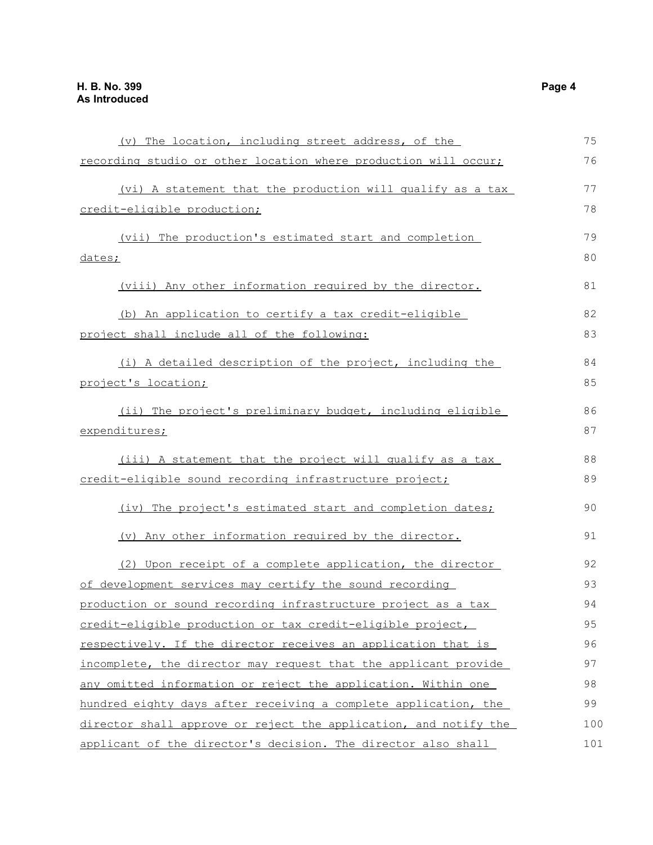| (v) The location, including street address, of the               | 75  |
|------------------------------------------------------------------|-----|
| recording studio or other location where production will occur;  | 76  |
| (vi) A statement that the production will qualify as a tax       | 77  |
| credit-eligible production;                                      | 78  |
|                                                                  |     |
| (vii) The production's estimated start and completion            | 79  |
| dates;                                                           | 80  |
| (viii) Any other information required by the director.           | 81  |
| (b) An application to certify a tax credit-eligible              | 82  |
| project shall include all of the following:                      | 83  |
| (i) A detailed description of the project, including the         | 84  |
| project's location;                                              | 85  |
| (ii) The project's preliminary budget, including eligible        | 86  |
| expenditures;                                                    | 87  |
| (iii) A statement that the project will qualify as a tax         | 88  |
| credit-eligible sound recording infrastructure project;          | 89  |
| (iv) The project's estimated start and completion dates;         | 90  |
| (v) Any other information required by the director.              | 91  |
| (2) Upon receipt of a complete application, the director         | 92  |
| of development services may certify the sound recording          | 93  |
| production or sound recording infrastructure project as a tax    | 94  |
| credit-eligible production or tax credit-eligible project,       | 95  |
| respectively. If the director receives an application that is    | 96  |
| incomplete, the director may request that the applicant provide  | 97  |
| any omitted information or reject the application. Within one    | 98  |
| hundred eighty days after receiving a complete application, the  | 99  |
| director shall approve or reject the application, and notify the | 100 |
| applicant of the director's decision. The director also shall    | 101 |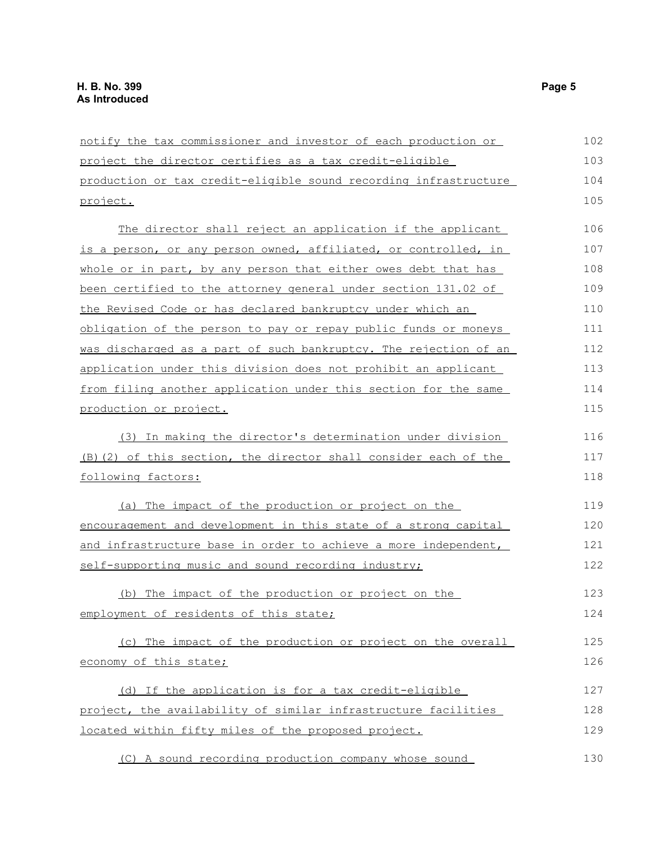| notify the tax commissioner and investor of each production or   | 102 |
|------------------------------------------------------------------|-----|
| project the director certifies as a tax credit-eligible          | 103 |
| production or tax credit-eligible sound recording infrastructure | 104 |
| project.                                                         | 105 |
| The director shall reject an application if the applicant        | 106 |
| is a person, or any person owned, affiliated, or controlled, in  | 107 |
| whole or in part, by any person that either owes debt that has   | 108 |
| been certified to the attorney general under section 131.02 of   | 109 |
| the Revised Code or has declared bankruptcy under which an       | 110 |
| obligation of the person to pay or repay public funds or moneys  | 111 |
| was discharged as a part of such bankruptcy. The rejection of an | 112 |
| application under this division does not prohibit an applicant   | 113 |
| from filing another application under this section for the same  | 114 |
| production or project.                                           | 115 |
| (3) In making the director's determination under division        | 116 |
| (B) (2) of this section, the director shall consider each of the | 117 |
| <u>following factors:</u>                                        | 118 |
| (a) The impact of the production or project on the               | 119 |
| encouragement and development in this state of a strong capital  | 120 |
| and infrastructure base in order to achieve a more independent,  | 121 |
| self-supporting music and sound recording industry;              | 122 |
| (b) The impact of the production or project on the               | 123 |
| employment of residents of this state;                           | 124 |
| (c) The impact of the production or project on the overall       | 125 |
| economy of this state;                                           | 126 |
| (d) If the application is for a tax credit-eligible              | 127 |
| project, the availability of similar infrastructure facilities   | 128 |
| located within fifty miles of the proposed project.              | 129 |
| (C) A sound recording production company whose sound             | 130 |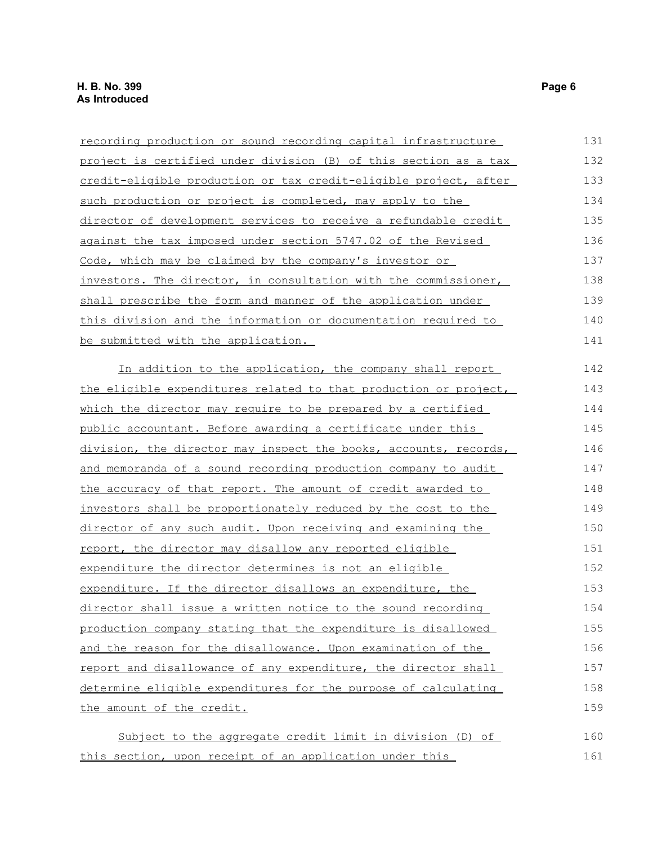| recording production or sound recording capital infrastructure   | 131 |
|------------------------------------------------------------------|-----|
| project is certified under division (B) of this section as a tax | 132 |
| credit-eligible production or tax credit-eligible project, after | 133 |
| such production or project is completed, may apply to the        | 134 |
| director of development services to receive a refundable credit  | 135 |
| against the tax imposed under section 5747.02 of the Revised     | 136 |
| Code, which may be claimed by the company's investor or          | 137 |
| investors. The director, in consultation with the commissioner,  | 138 |
| shall prescribe the form and manner of the application under     | 139 |
| this division and the information or documentation required to   | 140 |
| be submitted with the application.                               | 141 |
| In addition to the application, the company shall report         | 142 |
| the eligible expenditures related to that production or project, | 143 |
| which the director may require to be prepared by a certified     | 144 |
| public accountant. Before awarding a certificate under this      | 145 |
| division, the director may inspect the books, accounts, records, | 146 |
| and memoranda of a sound recording production company to audit   | 147 |
| the accuracy of that report. The amount of credit awarded to     | 148 |
| investors shall be proportionately reduced by the cost to the    | 149 |
| director of any such audit. Upon receiving and examining the     | 150 |
| report, the director may disallow any reported eligible          | 151 |
| expenditure the director determines is not an eligible           | 152 |
| expenditure. If the director disallows an expenditure, the       | 153 |
| director shall issue a written notice to the sound recording     | 154 |
| production company stating that the expenditure is disallowed    | 155 |
| and the reason for the disallowance. Upon examination of the     | 156 |
| report and disallowance of any expenditure, the director shall   | 157 |
| determine eligible expenditures for the purpose of calculating   | 158 |
| the amount of the credit.                                        | 159 |
| Subject to the aggregate credit limit in division (D) of         | 160 |
| this section, upon receipt of an application under this          | 161 |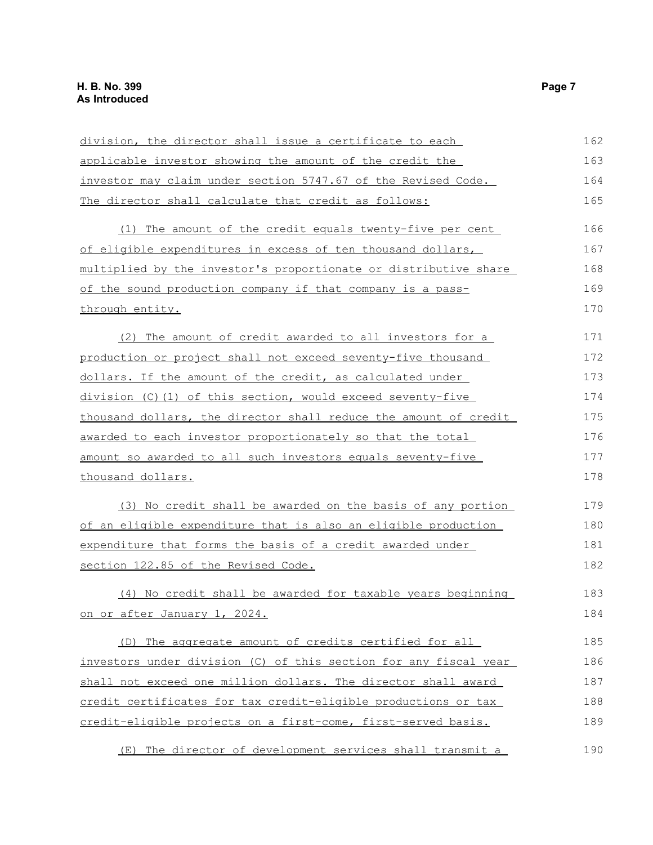| division, the director shall issue a certificate to each         | 162 |
|------------------------------------------------------------------|-----|
| applicable investor showing the amount of the credit the         | 163 |
| investor may claim under section 5747.67 of the Revised Code.    | 164 |
| The director shall calculate that credit as follows:             | 165 |
| (1) The amount of the credit equals twenty-five per cent         | 166 |
| of eligible expenditures in excess of ten thousand dollars,      | 167 |
| multiplied by the investor's proportionate or distributive share | 168 |
| of the sound production company if that company is a pass-       | 169 |
| through entity.                                                  | 170 |
| (2) The amount of credit awarded to all investors for a          | 171 |
| production or project shall not exceed seventy-five thousand     | 172 |
| dollars. If the amount of the credit, as calculated under        | 173 |
| division (C)(1) of this section, would exceed seventy-five       | 174 |
| thousand dollars, the director shall reduce the amount of credit | 175 |
| awarded to each investor proportionately so that the total       | 176 |
| amount so awarded to all such investors equals seventy-five      | 177 |
| thousand dollars.                                                | 178 |
| (3) No credit shall be awarded on the basis of any portion       | 179 |
| of an eligible expenditure that is also an eligible production   | 180 |
| expenditure that forms the basis of a credit awarded under       | 181 |
| section 122.85 of the Revised Code.                              | 182 |
| (4) No credit shall be awarded for taxable years beginning       | 183 |
| on or after January 1, 2024.                                     | 184 |
| (D) The aggregate amount of credits certified for all            | 185 |
| investors under division (C) of this section for any fiscal year | 186 |
| shall not exceed one million dollars. The director shall award   | 187 |
| credit certificates for tax credit-eligible productions or tax   | 188 |
| credit-eligible projects on a first-come, first-served basis.    | 189 |
| (E) The director of development services shall transmit a        | 190 |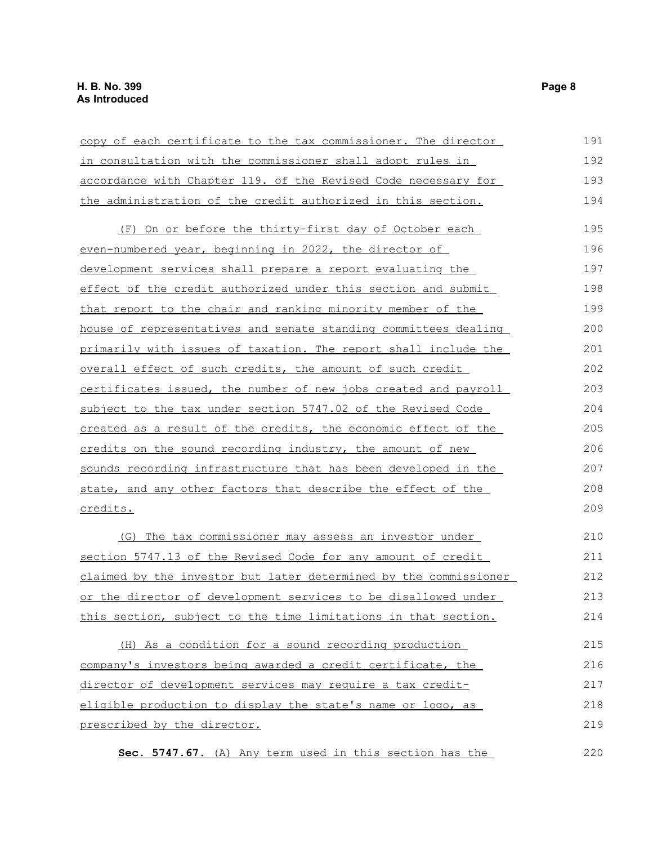| copy of each certificate to the tax commissioner. The director         | 191 |
|------------------------------------------------------------------------|-----|
| in consultation with the commissioner shall adopt rules in             | 192 |
| accordance with Chapter 119. of the Revised Code necessary for         | 193 |
| the administration of the credit authorized in this section.           | 194 |
| (F) On or before the thirty-first day of October each                  | 195 |
| even-numbered year, beginning in 2022, the director of                 | 196 |
| <u>development services shall prepare a report evaluating the</u>      | 197 |
| effect of the credit authorized under this section and submit          | 198 |
| that report to the chair and ranking minority member of the            | 199 |
| house of representatives and senate standing committees dealing        | 200 |
| primarily with issues of taxation. The report shall include the        | 201 |
| overall effect of such credits, the amount of such credit              | 202 |
| <u>certificates issued, the number of new jobs created and payroll</u> | 203 |
| subject to the tax under section 5747.02 of the Revised Code           | 204 |
| created as a result of the credits, the economic effect of the         | 205 |
| credits on the sound recording industry, the amount of new             | 206 |
| sounds recording infrastructure that has been developed in the         | 207 |
| state, and any other factors that describe the effect of the           | 208 |
| credits.                                                               | 209 |
| (G) The tax commissioner may assess an investor under                  | 210 |
| section 5747.13 of the Revised Code for any amount of credit           | 211 |
| claimed by the investor but later determined by the commissioner       | 212 |
| <u>or the director of development services to be disallowed under</u>  | 213 |
| this section, subject to the time limitations in that section.         | 214 |
| (H) As a condition for a sound recording production                    | 215 |
| company's investors being awarded a credit certificate, the            | 216 |
| director of development services may require a tax credit-             | 217 |
| eligible production to display the state's name or logo, as            | 218 |
| prescribed by the director.                                            | 219 |
| Sec. 5747.67. (A) Any term used in this section has the                | 220 |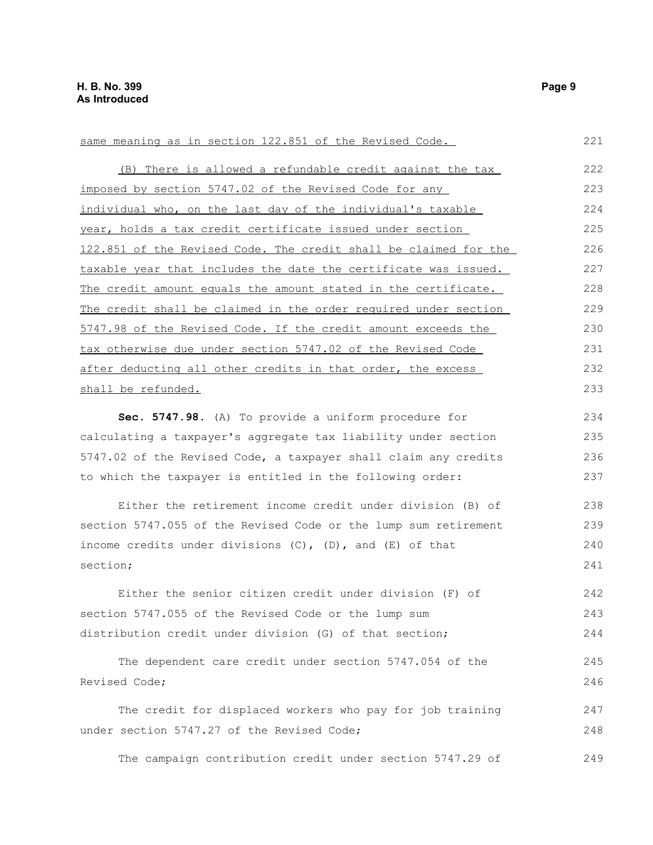| same meaning as in section 122.851 of the Revised Code.          | 221 |
|------------------------------------------------------------------|-----|
| (B) There is allowed a refundable credit against the tax         | 222 |
| imposed by section 5747.02 of the Revised Code for any           | 223 |
| individual who, on the last day of the individual's taxable      | 224 |
| year, holds a tax credit certificate issued under section        | 225 |
| 122.851 of the Revised Code. The credit shall be claimed for the | 226 |
| taxable year that includes the date the certificate was issued.  | 227 |
| The credit amount equals the amount stated in the certificate.   | 228 |
| The credit shall be claimed in the order required under section  | 229 |
| 5747.98 of the Revised Code. If the credit amount exceeds the    | 230 |
| tax otherwise due under section 5747.02 of the Revised Code      | 231 |
| after deducting all other credits in that order, the excess      | 232 |
| shall be refunded.                                               | 233 |
| Sec. 5747.98. (A) To provide a uniform procedure for             | 234 |
| calculating a taxpayer's aggregate tax liability under section   | 235 |
| 5747.02 of the Revised Code, a taxpayer shall claim any credits  | 236 |
| to which the taxpayer is entitled in the following order:        | 237 |
| Either the retirement income credit under division (B) of        | 238 |
| section 5747.055 of the Revised Code or the lump sum retirement  | 239 |
| income credits under divisions $(C)$ , $(D)$ , and $(E)$ of that | 240 |
| section;                                                         | 241 |
| Either the senior citizen credit under division (F) of           | 242 |
| section 5747.055 of the Revised Code or the lump sum             | 243 |
| distribution credit under division (G) of that section;          | 244 |
| The dependent care credit under section 5747.054 of the          | 245 |
| Revised Code;                                                    | 246 |
| The credit for displaced workers who pay for job training        | 247 |
| under section 5747.27 of the Revised Code;                       | 248 |
| The campaign contribution credit under section 5747.29 of        | 249 |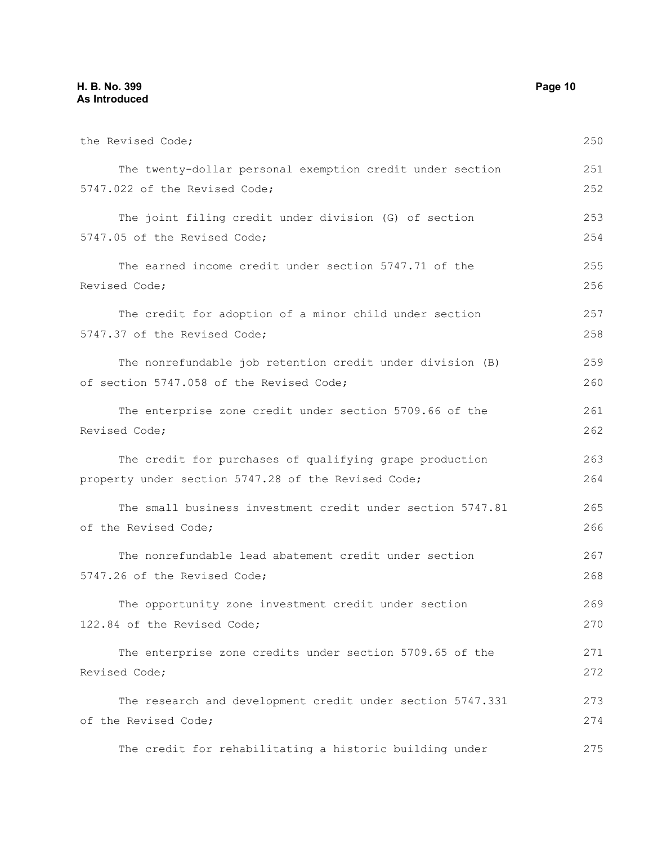#### **H. B. No. 399 Page 10 As Introduced**

| the Revised Code;                                          | 250 |
|------------------------------------------------------------|-----|
| The twenty-dollar personal exemption credit under section  | 251 |
| 5747.022 of the Revised Code;                              | 252 |
| The joint filing credit under division (G) of section      | 253 |
| 5747.05 of the Revised Code;                               | 254 |
| The earned income credit under section 5747.71 of the      | 255 |
| Revised Code;                                              | 256 |
| The credit for adoption of a minor child under section     | 257 |
| 5747.37 of the Revised Code;                               | 258 |
| The nonrefundable job retention credit under division (B)  | 259 |
| of section 5747.058 of the Revised Code;                   | 260 |
| The enterprise zone credit under section 5709.66 of the    | 261 |
| Revised Code;                                              | 262 |
| The credit for purchases of qualifying grape production    | 263 |
| property under section 5747.28 of the Revised Code;        | 264 |
| The small business investment credit under section 5747.81 | 265 |
| of the Revised Code;                                       | 266 |
| The nonrefundable lead abatement credit under section      | 267 |
| 5747.26 of the Revised Code;                               | 268 |
| The opportunity zone investment credit under section       | 269 |
| 122.84 of the Revised Code;                                | 270 |
| The enterprise zone credits under section 5709.65 of the   | 271 |
| Revised Code;                                              | 272 |
| The research and development credit under section 5747.331 | 273 |
| of the Revised Code;                                       | 274 |
| The credit for rehabilitating a historic building under    | 275 |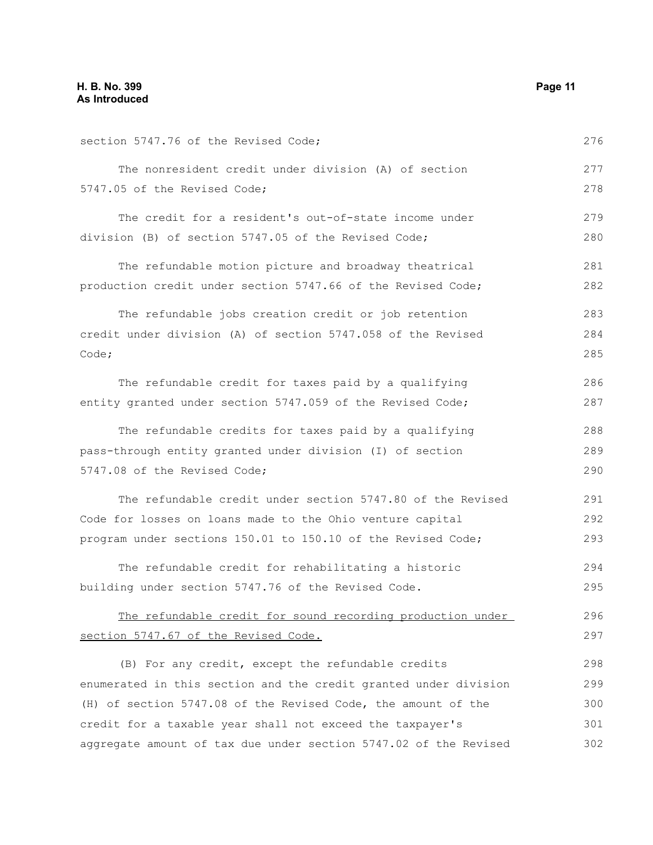| section 5747.76 of the Revised Code;                             | 276 |
|------------------------------------------------------------------|-----|
| The nonresident credit under division (A) of section             | 277 |
| 5747.05 of the Revised Code;                                     | 278 |
| The credit for a resident's out-of-state income under            | 279 |
| division (B) of section 5747.05 of the Revised Code;             | 280 |
| The refundable motion picture and broadway theatrical            | 281 |
| production credit under section 5747.66 of the Revised Code;     | 282 |
| The refundable jobs creation credit or job retention             | 283 |
| credit under division (A) of section 5747.058 of the Revised     | 284 |
| Code;                                                            | 285 |
| The refundable credit for taxes paid by a qualifying             | 286 |
| entity granted under section 5747.059 of the Revised Code;       | 287 |
| The refundable credits for taxes paid by a qualifying            | 288 |
| pass-through entity granted under division (I) of section        | 289 |
| 5747.08 of the Revised Code;                                     | 290 |
| The refundable credit under section 5747.80 of the Revised       | 291 |
| Code for losses on loans made to the Ohio venture capital        | 292 |
| program under sections 150.01 to 150.10 of the Revised Code;     | 293 |
| The refundable credit for rehabilitating a historic              | 294 |
| building under section 5747.76 of the Revised Code.              | 295 |
| The refundable credit for sound recording production under       | 296 |
| section 5747.67 of the Revised Code.                             | 297 |
| (B) For any credit, except the refundable credits                | 298 |
| enumerated in this section and the credit granted under division | 299 |
| (H) of section 5747.08 of the Revised Code, the amount of the    | 300 |
| credit for a taxable year shall not exceed the taxpayer's        | 301 |
| aggregate amount of tax due under section 5747.02 of the Revised | 302 |